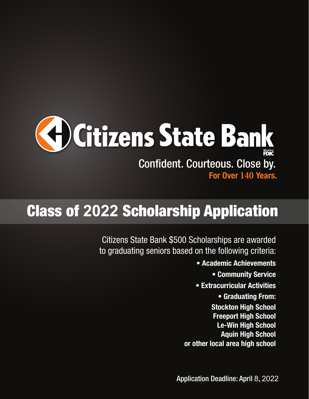

# Class of **2022** Scholarship Application

Citizens State Bank \$500 Scholarships are awarded to graduating seniors based on the following criteria:

- Academic Achievements
	- Community Service
- Extracurricular Activities
	- Graduating From:
- Stockton High School Freeport High School Le-Win High School Aquin High School or other local area high school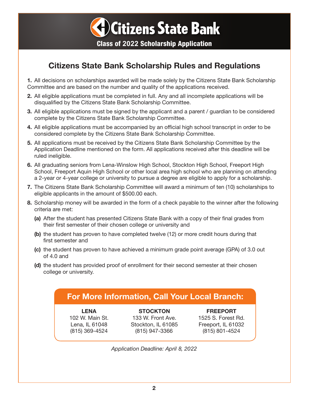

## Citizens State Bank Scholarship Rules and Regulations

1. All decisions on scholarships awarded will be made solely by the Citizens State Bank Scholarship Committee and are based on the number and quality of the applications received.

- 2. All eligible applications must be completed in full. Any and all incomplete applications will be disqualified by the Citizens State Bank Scholarship Committee.
- 3. All eligible applications must be signed by the applicant and a parent / guardian to be considered complete by the Citizens State Bank Scholarship Committee.
- 4. All eligible applications must be accompanied by an official high school transcript in order to be considered complete by the Citizens State Bank Scholarship Committee.
- 5. All applications must be received by the Citizens State Bank Scholarship Committee by the Application Deadline mentioned on the form. All applications received after this deadline will be ruled ineligible.
- 6. All graduating seniors from Lena-Winslow High School, Stockton High School, Freeport High School, Freeport Aquin High School or other local area high school who are planning on attending a 2-year or 4-year college or university to pursue a degree are eligible to apply for a scholarship.
- 7. The Citizens State Bank Scholarship Committee will award a minimum of ten (10) scholarships to eligible applicants in the amount of \$500.00 each.
- 8. Scholarship money will be awarded in the form of a check payable to the winner after the following criteria are met:
	- (a) After the student has presented Citizens State Bank with a copy of their final grades from their first semester of their chosen college or university and
	- (b) the student has proven to have completed twelve (12) or more credit hours during that first semester and
	- (c) the student has proven to have achieved a minimum grade point average (GPA) of 3.0 out of 4.0 and
	- (d) the student has provided proof of enrollment for their second semester at their chosen college or university.

## For More Information, Call Your Local Branch:

LENA 102 W. Main St. Lena, IL 61048 (815) 369-4524

**STOCKTON** 133 W. Front Ave. Stockton, IL 61085 (815) 947-3366

FREEPORT 1525 S. Forest Rd. Freeport, IL 61032 (815) 801-4524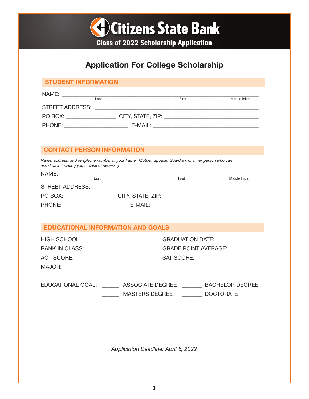

## Application For College Scholarship

#### STUDENT INFORMATION

| NAME:                  |      |                   |       |                |
|------------------------|------|-------------------|-------|----------------|
|                        | Last |                   | First | Middle Initial |
| <b>STREET ADDRESS:</b> |      |                   |       |                |
| PO BOX:                |      | CITY, STATE, ZIP: |       |                |
| PHONE:                 |      | E-MAIL:           |       |                |

#### CONTACT PERSON INFORMATION

*Name, address, and telephone number of your Father, Mother, Spouse, Guardian, or other person who can assist us in locating you in case of necessity:*

| NAME:                  |                   |       |                |
|------------------------|-------------------|-------|----------------|
|                        | Last              | First | Middle Initial |
| <b>STREET ADDRESS:</b> |                   |       |                |
| PO BOX:                | CITY, STATE, ZIP: |       |                |
| PHONE:                 | E-MAIL:           |       |                |

#### EDUCATIONAL INFORMATION AND GOALS

| HIGH SCHOOL:          | <b>GRADUATION DATE:</b>     |
|-----------------------|-----------------------------|
| <b>RANK IN CLASS:</b> | <b>GRADE POINT AVERAGE:</b> |
| ACT SCORE:            | SAT SCORE:                  |
| MAJOR:                |                             |

| <b>EDUCATIONAL GOAL:</b> | ASSOCIATE DEGREE      | <b>BACHELOR DEGREE</b> |
|--------------------------|-----------------------|------------------------|
|                          | <b>MASTERS DEGREE</b> | <b>DOCTORATE</b>       |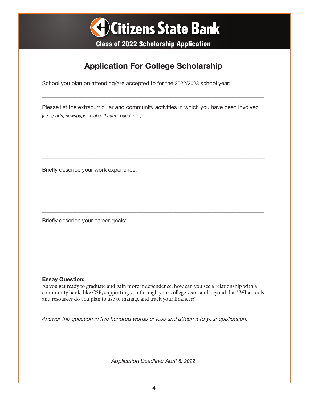

## **Application For College Scholarship**

School you plan on attending/are accepted to for the 2022/2023 school year:

Please list the extracurricular and community activities in which you have been involved  $(i.e. sports, newspaper, clubs, theatre, band, etc.):$ 

Briefly describe your work experience: Network and the set of the set of the set of the set of the set of the s

#### **Essay Question:**

As you get ready to graduate and gain more independence, how can you see a relationship with a community bank, like CSB, supporting you through your college years and beyond that? What tools and resources do you plan to use to manage and track your finances?

Answer the question in five hundred words or less and attach it to your application.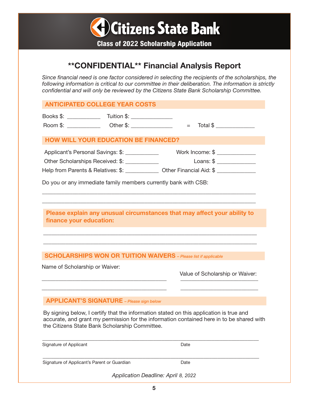

## \*\*CONFIDENTIAL\*\* Financial Analysis Report

*Since financial need is one factor considered in selecting the recipients of the scholarships, the following information is critical to our committee in their deliberation. The information is strictly confidential and will only be reviewed by the Citizens State Bank Scholarship Committee.*

| <b>ANTICIPATED COLLEGE YEAR COSTS</b>                                                                                                     |                                                                                           |
|-------------------------------------------------------------------------------------------------------------------------------------------|-------------------------------------------------------------------------------------------|
|                                                                                                                                           | Total \$<br>$=$                                                                           |
| <b>HOW WILL YOUR EDUCATION BE FINANCED?</b>                                                                                               |                                                                                           |
| Applicant's Personal Savings: \$: ____________                                                                                            | Work Income: \$                                                                           |
| Other Scholarships Received: \$: ____________                                                                                             | $Loans: $  \_$                                                                            |
|                                                                                                                                           | Help from Parents & Relatives: \$: ______________ Other Financial Aid: \$ ______________  |
| Do you or any immediate family members currently bank with CSB:                                                                           |                                                                                           |
| finance your education:<br><b>SCHOLARSHIPS WON OR TUITION WAIVERS</b> - Please list if applicable                                         |                                                                                           |
|                                                                                                                                           |                                                                                           |
| Name of Scholarship or Waiver:                                                                                                            | Value of Scholarship or Waiver:                                                           |
| <b>APPLICANT'S SIGNATURE</b> - Please sign below                                                                                          |                                                                                           |
| By signing below, I certify that the information stated on this application is true and<br>the Citizens State Bank Scholarship Committee. | accurate, and grant my permission for the information contained here in to be shared with |
| Signature of Applicant                                                                                                                    | Date                                                                                      |
|                                                                                                                                           |                                                                                           |